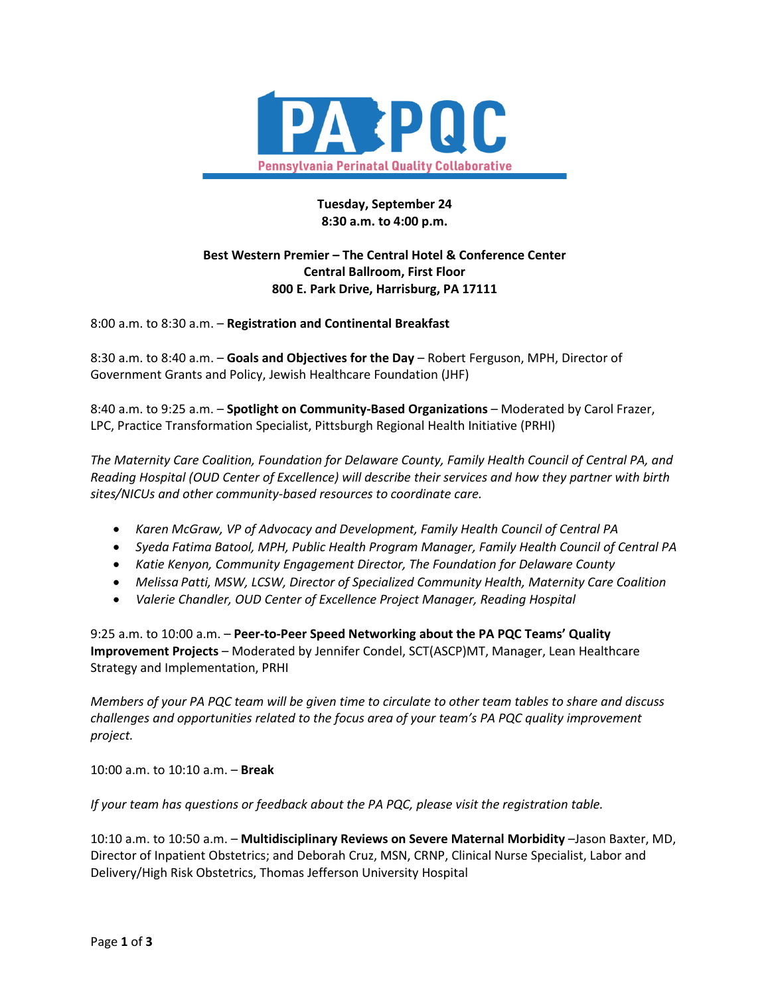

# **Tuesday, September 24 8:30 a.m. to 4:00 p.m.**

# **Best Western Premier – The Central Hotel & Conference Center Central Ballroom, First Floor 800 E. Park Drive, Harrisburg, PA 17111**

8:00 a.m. to 8:30 a.m. – **Registration and Continental Breakfast**

8:30 a.m. to 8:40 a.m. – **Goals and Objectives for the Day** – Robert Ferguson, MPH, Director of Government Grants and Policy, Jewish Healthcare Foundation (JHF)

8:40 a.m. to 9:25 a.m. – **Spotlight on Community-Based Organizations** – Moderated by Carol Frazer, LPC, Practice Transformation Specialist, Pittsburgh Regional Health Initiative (PRHI)

*The Maternity Care Coalition, Foundation for Delaware County, Family Health Council of Central PA, and Reading Hospital (OUD Center of Excellence) will describe their services and how they partner with birth sites/NICUs and other community-based resources to coordinate care.*

- *Karen McGraw, VP of Advocacy and Development, Family Health Council of Central PA*
- *Syeda Fatima Batool, MPH, Public Health Program Manager, Family Health Council of Central PA*
- *Katie Kenyon, Community Engagement Director, The Foundation for Delaware County*
- *Melissa Patti, MSW, LCSW, Director of Specialized Community Health, Maternity Care Coalition*
- *Valerie Chandler, OUD Center of Excellence Project Manager, Reading Hospital*

9:25 a.m. to 10:00 a.m. – **Peer-to-Peer Speed Networking about the PA PQC Teams' Quality Improvement Projects** – Moderated by Jennifer Condel, SCT(ASCP)MT, Manager, Lean Healthcare Strategy and Implementation, PRHI

*Members of your PA PQC team will be given time to circulate to other team tables to share and discuss challenges and opportunities related to the focus area of your team's PA PQC quality improvement project.*

10:00 a.m. to 10:10 a.m. – **Break** 

*If your team has questions or feedback about the PA PQC, please visit the registration table.* 

10:10 a.m. to 10:50 a.m. – **Multidisciplinary Reviews on Severe Maternal Morbidity** –Jason Baxter, MD, Director of Inpatient Obstetrics; and Deborah Cruz, MSN, CRNP, Clinical Nurse Specialist, Labor and Delivery/High Risk Obstetrics, Thomas Jefferson University Hospital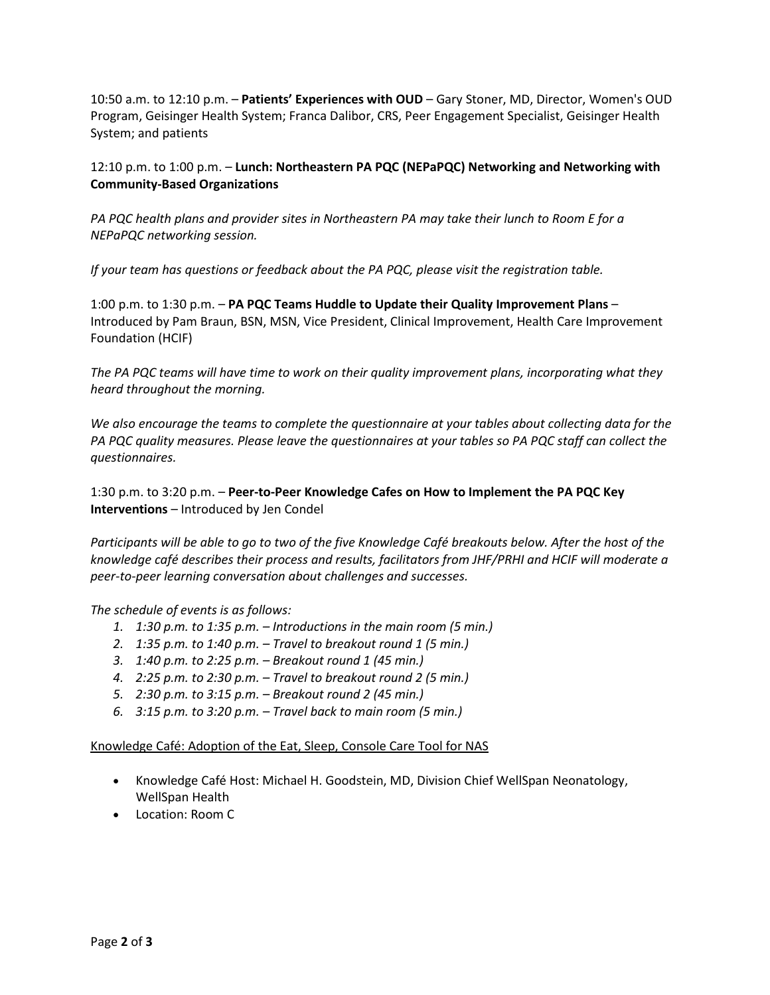10:50 a.m. to 12:10 p.m. – **Patients' Experiences with OUD** – Gary Stoner, MD, Director, Women's OUD Program, Geisinger Health System; Franca Dalibor, CRS, Peer Engagement Specialist, Geisinger Health System; and patients

# 12:10 p.m. to 1:00 p.m. – **Lunch: Northeastern PA PQC (NEPaPQC) Networking and Networking with Community-Based Organizations**

*PA PQC health plans and provider sites in Northeastern PA may take their lunch to Room E for a NEPaPQC networking session.* 

*If your team has questions or feedback about the PA PQC, please visit the registration table.* 

1:00 p.m. to 1:30 p.m. – **PA PQC Teams Huddle to Update their Quality Improvement Plans** – Introduced by Pam Braun, BSN, MSN, Vice President, Clinical Improvement, Health Care Improvement Foundation (HCIF)

*The PA PQC teams will have time to work on their quality improvement plans, incorporating what they heard throughout the morning.* 

*We also encourage the teams to complete the questionnaire at your tables about collecting data for the PA PQC quality measures. Please leave the questionnaires at your tables so PA PQC staff can collect the questionnaires.* 

1:30 p.m. to 3:20 p.m. – **Peer-to-Peer Knowledge Cafes on How to Implement the PA PQC Key Interventions** – Introduced by Jen Condel

*Participants will be able to go to two of the five Knowledge Café breakouts below. After the host of the knowledge café describes their process and results, facilitators from JHF/PRHI and HCIF will moderate a peer-to-peer learning conversation about challenges and successes.* 

### *The schedule of events is as follows:*

- *1. 1:30 p.m. to 1:35 p.m. – Introductions in the main room (5 min.)*
- *2. 1:35 p.m. to 1:40 p.m. – Travel to breakout round 1 (5 min.)*
- *3. 1:40 p.m. to 2:25 p.m. – Breakout round 1 (45 min.)*
- *4. 2:25 p.m. to 2:30 p.m. – Travel to breakout round 2 (5 min.)*
- *5. 2:30 p.m. to 3:15 p.m. – Breakout round 2 (45 min.)*
- *6. 3:15 p.m. to 3:20 p.m. – Travel back to main room (5 min.)*

### Knowledge Café: Adoption of the Eat, Sleep, Console Care Tool for NAS

- Knowledge Café Host: Michael H. Goodstein, MD, Division Chief WellSpan Neonatology, WellSpan Health
- Location: Room C